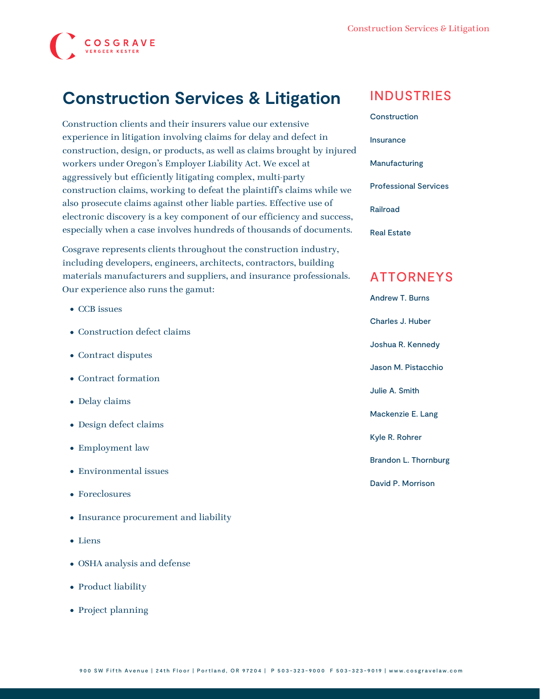

## **Construction Services & Litigation**

Construction clients and their insurers value our extensive experience in litigation involving claims for delay and defect in construction, design, or products, as well as claims brought by injured workers under Oregon's Employer Liability Act. We excel at aggressively but efficiently litigating complex, multi-party construction claims, working to defeat the plaintiff's claims while we also prosecute claims against other liable parties. Effective use of electronic discovery is a key component of our efficiency and success, especially when a case involves hundreds of thousands of documents.

Cosgrave represents clients throughout the construction industry, including developers, engineers, architects, contractors, building materials manufacturers and suppliers, and insurance professionals. Our experience also runs the gamut:

- CCB issues
- Construction defect claims
- Contract disputes
- Contract formation
- Delay claims
- Design defect claims
- Employment law
- Environmental issues
- Foreclosures
- Insurance procurement and liability
- Liens
- OSHA analysis and defense
- Product liability
- Project planning

### INDUSTRIES

[Construction](https://www.cosgravelaw.com/construction/) [Insurance](https://www.cosgravelaw.com/insurance/) [Manufacturing](https://www.cosgravelaw.com/manufacturing/) [Professional Services](https://www.cosgravelaw.com/professional-services/) [Railroad](https://www.cosgravelaw.com/railroad/) [Real Estate](https://www.cosgravelaw.com/real-estate/)

### ATTORNEYS

[Andrew T. Burns](https://www.cosgravelaw.com/andrew-burns-construction-services-attorney/) [Charles J. Huber](https://www.cosgravelaw.com/charles-huber-business-representation-transactions/) [Joshua R. Kennedy](https://www.cosgravelaw.com/joshua-kennedy-construction-litigation-attorney/) [Jason M. Pistacchio](https://www.cosgravelaw.com/jason-pistacchio-construction-lien-attorney/) [Julie A. Smith](https://www.cosgravelaw.com/julie-smith-appellate-litigation-services/) [Mackenzie E. Lang](https://www.cosgravelaw.com/mackenzie-e-lang/) [Kyle R. Rohrer](https://www.cosgravelaw.com/kyle-rohrer/) [Brandon L. Thornburg](https://www.cosgravelaw.com/brandon-thornburg-transportation-litigation/) [David P. Morrison](https://www.cosgravelaw.com/david-p-morrison/)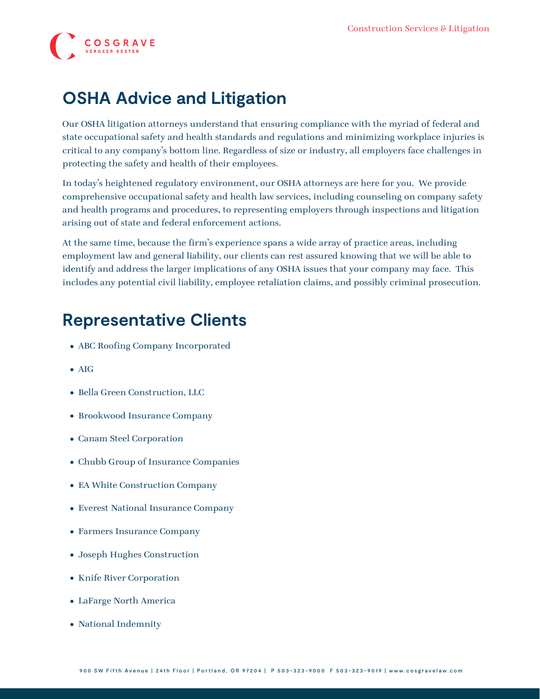# **COSGRAVE**

# **OSHA Advice and Litigation**

Our OSHA litigation attorneys understand that ensuring compliance with the myriad of federal and state occupational safety and health standards and regulations and minimizing workplace injuries is critical to any company's bottom line. Regardless of size or industry, all employers face challenges in protecting the safety and health of their employees.

In today's heightened regulatory environment, our OSHA attorneys are here for you. We provide comprehensive occupational safety and health law services, including counseling on company safety and health programs and procedures, to representing employers through inspections and litigation arising out of state and federal enforcement actions.

At the same time, because the firm's experience spans a wide array of practice areas, including employment law and general liability, our clients can rest assured knowing that we will be able to identify and address the larger implications of any OSHA issues that your company may face. This includes any potential civil liability, employee retaliation claims, and possibly criminal prosecution.

# **Representative Clients**

- ABC Roofing Company Incorporated
- AIG
- Bella Green Construction, LLC
- Brookwood Insurance Company
- Canam Steel Corporation
- Chubb Group of Insurance Companies
- EA White Construction Company
- Everest National Insurance Company
- Farmers Insurance Company
- Joseph Hughes Construction
- Knife River Corporation
- LaFarge North America
- National Indemnity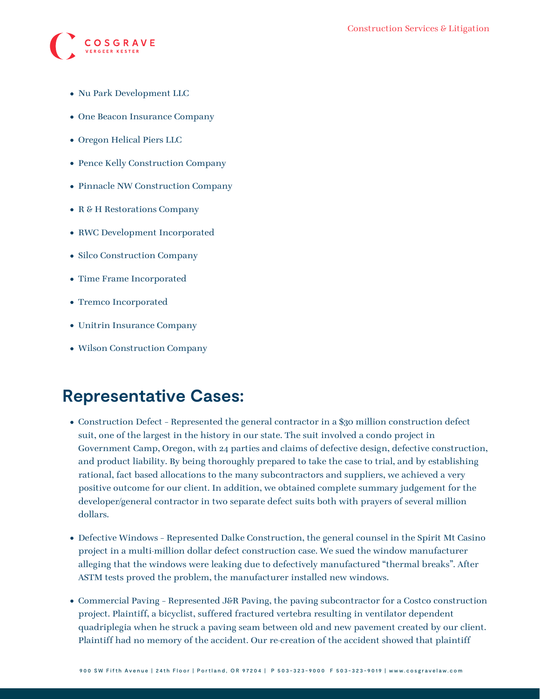

- Nu Park Development LLC
- One Beacon Insurance Company
- Oregon Helical Piers LLC
- Pence Kelly Construction Company
- Pinnacle NW Construction Company
- R & H Restorations Company
- RWC Development Incorporated
- Silco Construction Company
- Time Frame Incorporated
- Tremco Incorporated
- Unitrin Insurance Company
- Wilson Construction Company

## **Representative Cases:**

- Construction Defect Represented the general contractor in a \$30 million construction defect suit, one of the largest in the history in our state. The suit involved a condo project in Government Camp, Oregon, with 24 parties and claims of defective design, defective construction, and product liability. By being thoroughly prepared to take the case to trial, and by establishing rational, fact based allocations to the many subcontractors and suppliers, we achieved a very positive outcome for our client. In addition, we obtained complete summary judgement for the developer/general contractor in two separate defect suits both with prayers of several million dollars.
- Defective Windows Represented Dalke Construction, the general counsel in the Spirit Mt Casino project in a multi-million dollar defect construction case. We sued the window manufacturer alleging that the windows were leaking due to defectively manufactured "thermal breaks". After ASTM tests proved the problem, the manufacturer installed new windows.
- Commercial Paving Represented J&R Paving, the paving subcontractor for a Costco construction project. Plaintiff, a bicyclist, suffered fractured vertebra resulting in ventilator dependent quadriplegia when he struck a paving seam between old and new pavement created by our client. Plaintiff had no memory of the accident. Our re-creation of the accident showed that plaintiff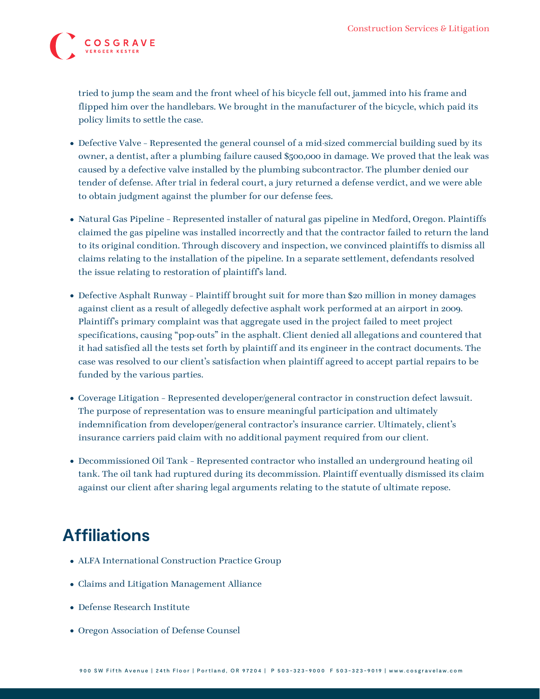

tried to jump the seam and the front wheel of his bicycle fell out, jammed into his frame and flipped him over the handlebars. We brought in the manufacturer of the bicycle, which paid its policy limits to settle the case.

- Defective Valve Represented the general counsel of a mid-sized commercial building sued by its owner, a dentist, after a plumbing failure caused \$500,000 in damage. We proved that the leak was caused by a defective valve installed by the plumbing subcontractor. The plumber denied our tender of defense. After trial in federal court, a jury returned a defense verdict, and we were able to obtain judgment against the plumber for our defense fees.
- Natural Gas Pipeline Represented installer of natural gas pipeline in Medford, Oregon. Plaintiffs claimed the gas pipeline was installed incorrectly and that the contractor failed to return the land to its original condition. Through discovery and inspection, we convinced plaintiffs to dismiss all claims relating to the installation of the pipeline. In a separate settlement, defendants resolved the issue relating to restoration of plaintiff's land.
- Defective Asphalt Runway Plaintiff brought suit for more than \$20 million in money damages against client as a result of allegedly defective asphalt work performed at an airport in 2009. Plaintiff's primary complaint was that aggregate used in the project failed to meet project specifications, causing "pop-outs" in the asphalt. Client denied all allegations and countered that it had satisfied all the tests set forth by plaintiff and its engineer in the contract documents. The case was resolved to our client's satisfaction when plaintiff agreed to accept partial repairs to be funded by the various parties.
- Coverage Litigation Represented developer/general contractor in construction defect lawsuit. The purpose of representation was to ensure meaningful participation and ultimately indemnification from developer/general contractor's insurance carrier. Ultimately, client's insurance carriers paid claim with no additional payment required from our client.
- Decommissioned Oil Tank Represented contractor who installed an underground heating oil tank. The oil tank had ruptured during its decommission. Plaintiff eventually dismissed its claim against our client after sharing legal arguments relating to the statute of ultimate repose.

# **Affiliations**

- ALFA International Construction Practice Group
- Claims and Litigation Management Alliance
- Defense Research Institute
- Oregon Association of Defense Counsel